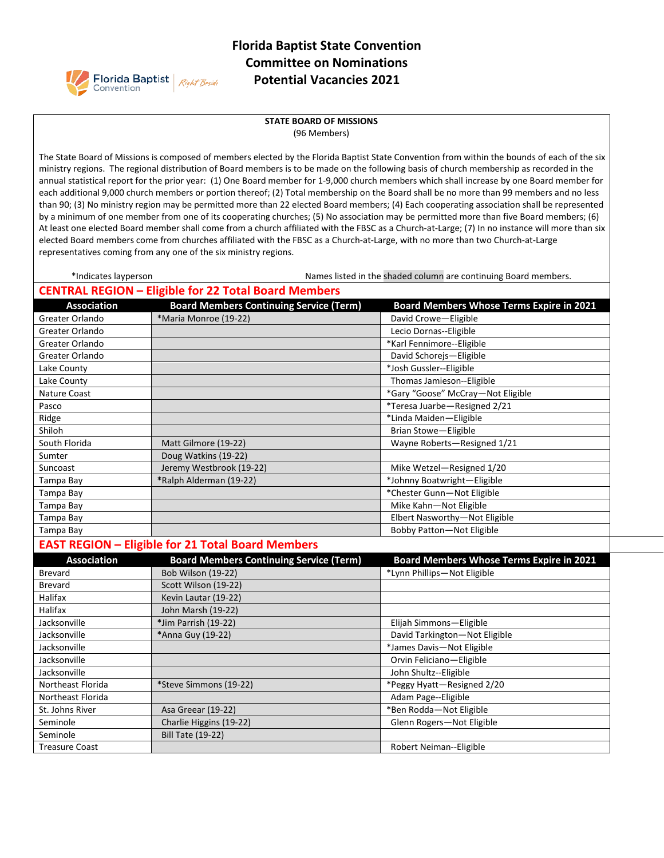

## **Florida Baptist State Convention Committee on Nominations Potential Vacancies 2021**

## **STATE BOARD OF MISSIONS** (96 Members)

The State Board of Missions is composed of members elected by the Florida Baptist State Convention from within the bounds of each of the six ministry regions. The regional distribution of Board members is to be made on the following basis of church membership as recorded in the annual statistical report for the prior year: (1) One Board member for 1-9,000 church members which shall increase by one Board member for each additional 9,000 church members or portion thereof; (2) Total membership on the Board shall be no more than 99 members and no less than 90; (3) No ministry region may be permitted more than 22 elected Board members; (4) Each cooperating association shall be represented by a minimum of one member from one of its cooperating churches; (5) No association may be permitted more than five Board members; (6) At least one elected Board member shall come from a church affiliated with the FBSC as a Church-at-Large; (7) In no instance will more than six elected Board members come from churches affiliated with the FBSC as a Church-at-Large, with no more than two Church-at-Large representatives coming from any one of the six ministry regions.

| *Indicates layperson  |                                                             | Names listed in the shaded column are continuing Board members. |
|-----------------------|-------------------------------------------------------------|-----------------------------------------------------------------|
|                       | <b>CENTRAL REGION - Eligible for 22 Total Board Members</b> |                                                                 |
| <b>Association</b>    | <b>Board Members Continuing Service (Term)</b>              | <b>Board Members Whose Terms Expire in 2021</b>                 |
| Greater Orlando       | *Maria Monroe (19-22)                                       | David Crowe-Eligible                                            |
| Greater Orlando       |                                                             | Lecio Dornas--Eligible                                          |
| Greater Orlando       |                                                             | *Karl Fennimore--Eligible                                       |
| Greater Orlando       |                                                             | David Schorejs-Eligible                                         |
| Lake County           |                                                             | *Josh Gussler--Eligible                                         |
| Lake County           |                                                             | Thomas Jamieson--Eligible                                       |
| <b>Nature Coast</b>   |                                                             | *Gary "Goose" McCray-Not Eligible                               |
| Pasco                 |                                                             | *Teresa Juarbe-Resigned 2/21                                    |
| Ridge                 |                                                             | *Linda Maiden-Eligible                                          |
| Shiloh                |                                                             | Brian Stowe-Eligible                                            |
| South Florida         | Matt Gilmore (19-22)                                        | Wayne Roberts-Resigned 1/21                                     |
| Sumter                | Doug Watkins (19-22)                                        |                                                                 |
| Suncoast              | Jeremy Westbrook (19-22)                                    | Mike Wetzel-Resigned 1/20                                       |
| Tampa Bay             | *Ralph Alderman (19-22)                                     | *Johnny Boatwright-Eligible                                     |
| Tampa Bay             |                                                             | *Chester Gunn-Not Eligible                                      |
| Tampa Bay             |                                                             | Mike Kahn-Not Eligible                                          |
| Tampa Bay             |                                                             | Elbert Nasworthy-Not Eligible                                   |
| Tampa Bay             |                                                             | Bobby Patton-Not Eligible                                       |
|                       | <b>EAST REGION - Eligible for 21 Total Board Members</b>    |                                                                 |
| <b>Association</b>    | <b>Board Members Continuing Service (Term)</b>              | <b>Board Members Whose Terms Expire in 2021</b>                 |
| Brevard               | <b>Bob Wilson (19-22)</b>                                   | *Lynn Phillips-Not Eligible                                     |
| <b>Brevard</b>        | Scott Wilson (19-22)                                        |                                                                 |
| Halifax               | Kevin Lautar (19-22)                                        |                                                                 |
| Halifax               | John Marsh (19-22)                                          |                                                                 |
| Jacksonville          | *Jim Parrish (19-22)                                        | Elijah Simmons-Eligible                                         |
| Jacksonville          | *Anna Guy (19-22)                                           | David Tarkington-Not Eligible                                   |
| Jacksonville          |                                                             | *James Davis-Not Eligible                                       |
| Jacksonville          |                                                             | Orvin Feliciano-Eligible                                        |
| Jacksonville          |                                                             | John Shultz--Eligible                                           |
| Northeast Florida     | *Steve Simmons (19-22)                                      | *Peggy Hyatt-Resigned 2/20                                      |
| Northeast Florida     |                                                             | Adam Page--Eligible                                             |
| St. Johns River       | Asa Greear (19-22)                                          | *Ben Rodda-Not Eligible                                         |
| Seminole              | Charlie Higgins (19-22)                                     | Glenn Rogers-Not Eligible                                       |
| Seminole              | <b>Bill Tate (19-22)</b>                                    |                                                                 |
| <b>Treasure Coast</b> |                                                             | Robert Neiman--Eligible                                         |
|                       |                                                             |                                                                 |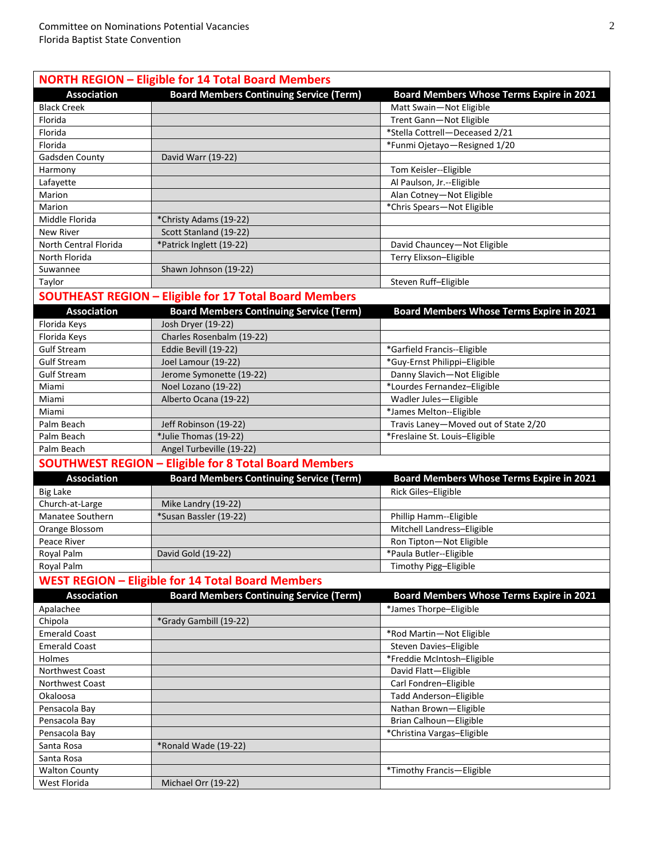| <b>NORTH REGION - Eligible for 14 Total Board Members</b> |                                                               |                                          |  |
|-----------------------------------------------------------|---------------------------------------------------------------|------------------------------------------|--|
| <b>Association</b>                                        | <b>Board Members Continuing Service (Term)</b>                | Board Members Whose Terms Expire in 2021 |  |
| <b>Black Creek</b>                                        |                                                               | Matt Swain-Not Eligible                  |  |
| Florida                                                   |                                                               | Trent Gann-Not Eligible                  |  |
| Florida                                                   |                                                               | *Stella Cottrell-Deceased 2/21           |  |
| Florida                                                   |                                                               | *Funmi Ojetayo-Resigned 1/20             |  |
| Gadsden County                                            | David Warr (19-22)                                            |                                          |  |
| Harmony                                                   |                                                               | Tom Keisler--Eligible                    |  |
| Lafayette                                                 |                                                               | Al Paulson, Jr.--Eligible                |  |
| Marion                                                    |                                                               | Alan Cotney-Not Eligible                 |  |
| Marion                                                    |                                                               | *Chris Spears-Not Eligible               |  |
| Middle Florida                                            | *Christy Adams (19-22)                                        |                                          |  |
| New River                                                 | Scott Stanland (19-22)                                        |                                          |  |
| North Central Florida                                     | *Patrick Inglett (19-22)                                      | David Chauncey-Not Eligible              |  |
| North Florida                                             |                                                               | Terry Elixson-Eligible                   |  |
| Suwannee                                                  | Shawn Johnson (19-22)                                         |                                          |  |
| Taylor                                                    |                                                               | Steven Ruff-Eligible                     |  |
|                                                           | <b>SOUTHEAST REGION - Eligible for 17 Total Board Members</b> |                                          |  |
| <b>Association</b>                                        | <b>Board Members Continuing Service (Term)</b>                | Board Members Whose Terms Expire in 2021 |  |
|                                                           |                                                               |                                          |  |
| Florida Keys                                              | Josh Dryer (19-22)                                            |                                          |  |
| Florida Keys                                              | Charles Rosenbalm (19-22)                                     |                                          |  |
| <b>Gulf Stream</b>                                        | Eddie Bevill (19-22)                                          | *Garfield Francis--Eligible              |  |
| <b>Gulf Stream</b>                                        | Joel Lamour (19-22)                                           | *Guy-Ernst Philippi-Eligible             |  |
| <b>Gulf Stream</b>                                        | Jerome Symonette (19-22)                                      | Danny Slavich-Not Eligible               |  |
| Miami                                                     | Noel Lozano (19-22)                                           | *Lourdes Fernandez-Eligible              |  |
| Miami                                                     | Alberto Ocana (19-22)                                         | Wadler Jules-Eligible                    |  |
| Miami                                                     |                                                               | *James Melton--Eligible                  |  |
| Palm Beach                                                | Jeff Robinson (19-22)                                         | Travis Laney-Moved out of State 2/20     |  |
| Palm Beach                                                | *Julie Thomas (19-22)                                         | *Freslaine St. Louis-Eligible            |  |
| Palm Beach                                                | Angel Turbeville (19-22)                                      |                                          |  |
|                                                           | <b>SOUTHWEST REGION - Eligible for 8 Total Board Members</b>  |                                          |  |
| <b>Association</b>                                        | <b>Board Members Continuing Service (Term)</b>                | Board Members Whose Terms Expire in 2021 |  |
| <b>Big Lake</b>                                           |                                                               | Rick Giles-Eligible                      |  |
| Church-at-Large                                           | Mike Landry (19-22)                                           |                                          |  |
| Manatee Southern                                          | *Susan Bassler (19-22)                                        | Phillip Hamm--Eligible                   |  |
| Orange Blossom                                            |                                                               | Mitchell Landress-Eligible               |  |
| Peace River                                               |                                                               | Ron Tipton-Not Eligible                  |  |
| Royal Palm                                                | David Gold (19-22)                                            | *Paula Butler--Eligible                  |  |
| Royal Palm                                                |                                                               | Timothy Pigg-Eligible                    |  |
|                                                           | <b>WEST REGION - Eligible for 14 Total Board Members</b>      |                                          |  |
| <b>Association</b>                                        | <b>Board Members Continuing Service (Term)</b>                | Board Members Whose Terms Expire in 2021 |  |
| Apalachee                                                 |                                                               | *James Thorpe-Eligible                   |  |
| Chipola                                                   | *Grady Gambill (19-22)                                        |                                          |  |
| <b>Emerald Coast</b>                                      |                                                               | *Rod Martin-Not Eligible                 |  |
| <b>Emerald Coast</b>                                      |                                                               | Steven Davies-Eligible                   |  |
| Holmes                                                    |                                                               | *Freddie McIntosh-Eligible               |  |
| Northwest Coast                                           |                                                               | David Flatt-Eligible                     |  |
| Northwest Coast                                           |                                                               | Carl Fondren-Eligible                    |  |
| Okaloosa                                                  |                                                               | Tadd Anderson-Eligible                   |  |
| Pensacola Bay                                             |                                                               | Nathan Brown-Eligible                    |  |
| Pensacola Bay                                             |                                                               | Brian Calhoun-Eligible                   |  |
| Pensacola Bay                                             |                                                               | *Christina Vargas-Eligible               |  |
| Santa Rosa                                                | *Ronald Wade (19-22)                                          |                                          |  |
| Santa Rosa                                                |                                                               |                                          |  |
| <b>Walton County</b>                                      |                                                               | *Timothy Francis-Eligible                |  |
| West Florida                                              | Michael Orr (19-22)                                           |                                          |  |
|                                                           |                                                               |                                          |  |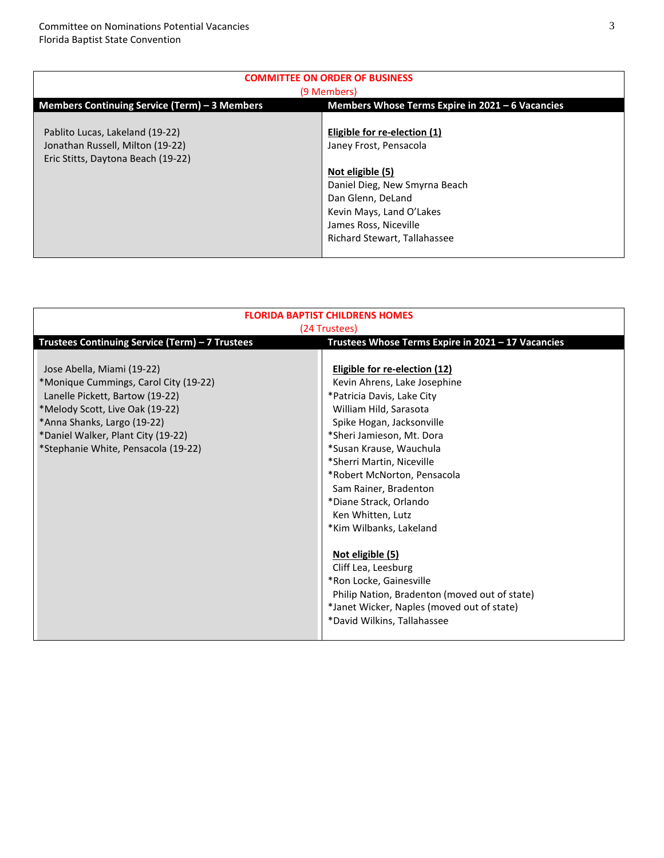| <b>COMMITTEE ON ORDER OF BUSINESS</b>                                                                     |                                                                                                                                                                                                                       |  |  |
|-----------------------------------------------------------------------------------------------------------|-----------------------------------------------------------------------------------------------------------------------------------------------------------------------------------------------------------------------|--|--|
| (9 Members)                                                                                               |                                                                                                                                                                                                                       |  |  |
| Members Continuing Service (Term) – 3 Members<br>Members Whose Terms Expire in 2021 - 6 Vacancies         |                                                                                                                                                                                                                       |  |  |
| Pablito Lucas, Lakeland (19-22)<br>Jonathan Russell, Milton (19-22)<br>Eric Stitts, Daytona Beach (19-22) | Eligible for re-election (1)<br>Janey Frost, Pensacola<br>Not eligible (5)<br>Daniel Dieg, New Smyrna Beach<br>Dan Glenn, DeLand<br>Kevin Mays, Land O'Lakes<br>James Ross, Niceville<br>Richard Stewart, Tallahassee |  |  |

| <b>FLORIDA BAPTIST CHILDRENS HOMES</b>                                                                                                                                                                                                                |                                                                                                                                                                                                                                                                                                                                                                                                                                                                                                                                                                                      |  |  |
|-------------------------------------------------------------------------------------------------------------------------------------------------------------------------------------------------------------------------------------------------------|--------------------------------------------------------------------------------------------------------------------------------------------------------------------------------------------------------------------------------------------------------------------------------------------------------------------------------------------------------------------------------------------------------------------------------------------------------------------------------------------------------------------------------------------------------------------------------------|--|--|
| (24 Trustees)<br>Trustees Continuing Service (Term) - 7 Trustees<br>Trustees Whose Terms Expire in 2021 - 17 Vacancies                                                                                                                                |                                                                                                                                                                                                                                                                                                                                                                                                                                                                                                                                                                                      |  |  |
| Jose Abella, Miami (19-22)<br>*Monique Cummings, Carol City (19-22)<br>Lanelle Pickett, Bartow (19-22)<br>*Melody Scott, Live Oak (19-22)<br>*Anna Shanks, Largo (19-22)<br>*Daniel Walker, Plant City (19-22)<br>*Stephanie White, Pensacola (19-22) | <b>Eligible for re-election (12)</b><br>Kevin Ahrens, Lake Josephine<br>*Patricia Davis, Lake City<br>William Hild, Sarasota<br>Spike Hogan, Jacksonville<br>*Sheri Jamieson, Mt. Dora<br>*Susan Krause, Wauchula<br>*Sherri Martin, Niceville<br>*Robert McNorton, Pensacola<br>Sam Rainer, Bradenton<br>*Diane Strack, Orlando<br>Ken Whitten, Lutz<br>*Kim Wilbanks, Lakeland<br>Not eligible (5)<br>Cliff Lea, Leesburg<br>*Ron Locke, Gainesville<br>Philip Nation, Bradenton (moved out of state)<br>*Janet Wicker, Naples (moved out of state)<br>*David Wilkins, Tallahassee |  |  |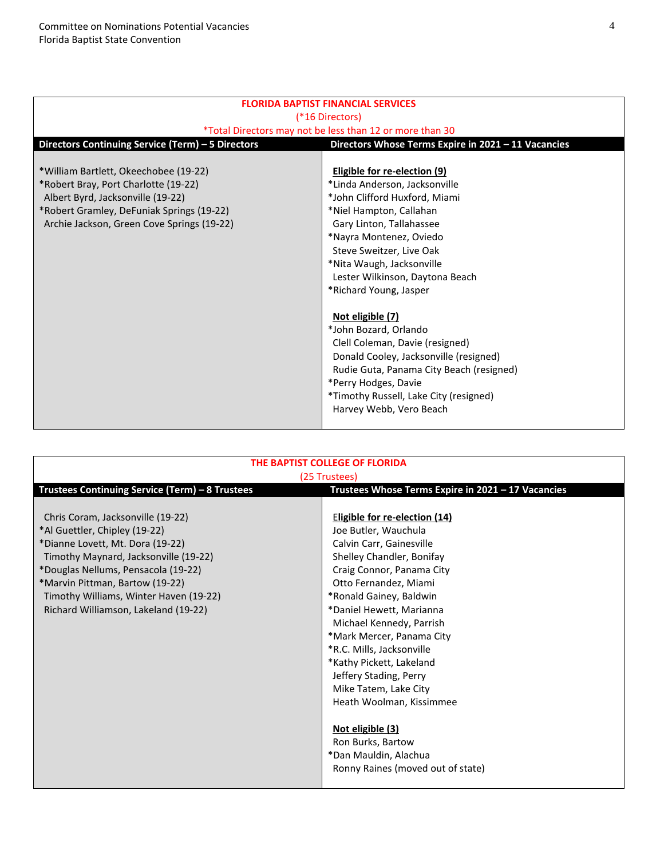| <b>FLORIDA BAPTIST FINANCIAL SERVICES</b>                                                                |                                          |  |  |  |
|----------------------------------------------------------------------------------------------------------|------------------------------------------|--|--|--|
| (*16 Directors)                                                                                          |                                          |  |  |  |
| *Total Directors may not be less than 12 or more than 30                                                 |                                          |  |  |  |
| Directors Continuing Service (Term) - 5 Directors<br>Directors Whose Terms Expire in 2021 - 11 Vacancies |                                          |  |  |  |
|                                                                                                          |                                          |  |  |  |
| *William Bartlett, Okeechobee (19-22)                                                                    | Eligible for re-election (9)             |  |  |  |
| *Robert Bray, Port Charlotte (19-22)                                                                     | *Linda Anderson, Jacksonville            |  |  |  |
| Albert Byrd, Jacksonville (19-22)                                                                        | *John Clifford Huxford, Miami            |  |  |  |
| *Robert Gramley, DeFuniak Springs (19-22)                                                                | *Niel Hampton, Callahan                  |  |  |  |
| Archie Jackson, Green Cove Springs (19-22)                                                               | Gary Linton, Tallahassee                 |  |  |  |
|                                                                                                          | *Nayra Montenez, Oviedo                  |  |  |  |
|                                                                                                          | Steve Sweitzer, Live Oak                 |  |  |  |
|                                                                                                          | *Nita Waugh, Jacksonville                |  |  |  |
|                                                                                                          | Lester Wilkinson, Daytona Beach          |  |  |  |
|                                                                                                          | *Richard Young, Jasper                   |  |  |  |
|                                                                                                          |                                          |  |  |  |
|                                                                                                          | Not eligible (7)                         |  |  |  |
|                                                                                                          | *John Bozard, Orlando                    |  |  |  |
|                                                                                                          | Clell Coleman, Davie (resigned)          |  |  |  |
|                                                                                                          | Donald Cooley, Jacksonville (resigned)   |  |  |  |
|                                                                                                          | Rudie Guta, Panama City Beach (resigned) |  |  |  |
|                                                                                                          | *Perry Hodges, Davie                     |  |  |  |
|                                                                                                          | *Timothy Russell, Lake City (resigned)   |  |  |  |
|                                                                                                          | Harvey Webb, Vero Beach                  |  |  |  |
|                                                                                                          |                                          |  |  |  |

| THE BAPTIST COLLEGE OF FLORIDA<br>(25 Trustees)                                                                                                                                                                                                                                                             |                                                                                                                                                                                                                                                                                                                                                                                                                                                                                                                                            |  |  |
|-------------------------------------------------------------------------------------------------------------------------------------------------------------------------------------------------------------------------------------------------------------------------------------------------------------|--------------------------------------------------------------------------------------------------------------------------------------------------------------------------------------------------------------------------------------------------------------------------------------------------------------------------------------------------------------------------------------------------------------------------------------------------------------------------------------------------------------------------------------------|--|--|
| Trustees Continuing Service (Term) - 8 Trustees<br>Trustees Whose Terms Expire in 2021 - 17 Vacancies                                                                                                                                                                                                       |                                                                                                                                                                                                                                                                                                                                                                                                                                                                                                                                            |  |  |
| Chris Coram, Jacksonville (19-22)<br>*Al Guettler, Chipley (19-22)<br>*Dianne Lovett, Mt. Dora (19-22)<br>Timothy Maynard, Jacksonville (19-22)<br>*Douglas Nellums, Pensacola (19-22)<br>*Marvin Pittman, Bartow (19-22)<br>Timothy Williams, Winter Haven (19-22)<br>Richard Williamson, Lakeland (19-22) | <b>Eligible for re-election (14)</b><br>Joe Butler, Wauchula<br>Calvin Carr, Gainesville<br>Shelley Chandler, Bonifay<br>Craig Connor, Panama City<br>Otto Fernandez, Miami<br>*Ronald Gainey, Baldwin<br>*Daniel Hewett, Marianna<br>Michael Kennedy, Parrish<br>*Mark Mercer, Panama City<br>*R.C. Mills, Jacksonville<br>*Kathy Pickett, Lakeland<br>Jeffery Stading, Perry<br>Mike Tatem, Lake City<br>Heath Woolman, Kissimmee<br>Not eligible (3)<br>Ron Burks, Bartow<br>*Dan Mauldin, Alachua<br>Ronny Raines (moved out of state) |  |  |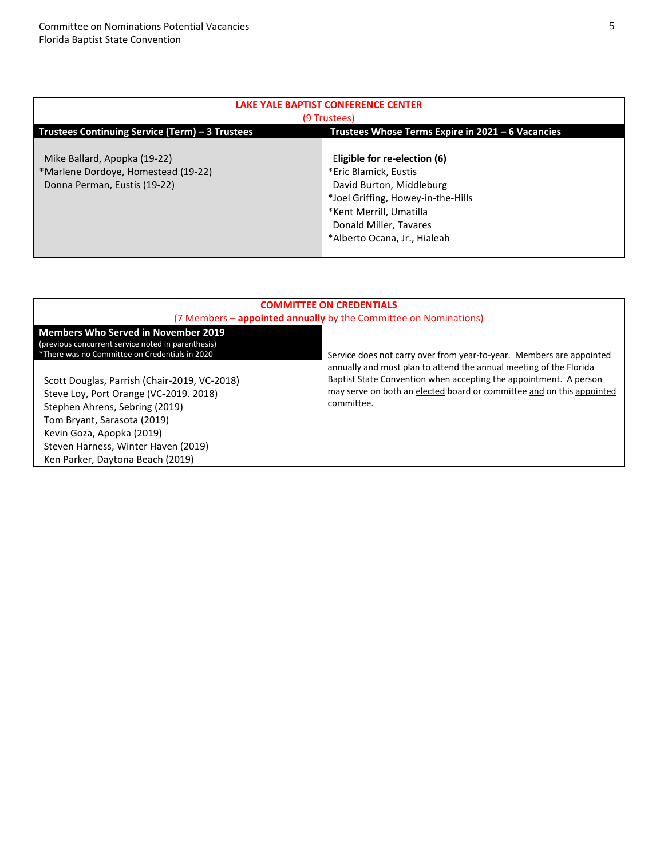| LAKE YALE BAPTIST CONFERENCE CENTER                                                                  |                                                                                                                                                                                                              |  |  |
|------------------------------------------------------------------------------------------------------|--------------------------------------------------------------------------------------------------------------------------------------------------------------------------------------------------------------|--|--|
| (9 Trustees)                                                                                         |                                                                                                                                                                                                              |  |  |
| Trustees Continuing Service (Term) – 3 Trustees<br>Trustees Whose Terms Expire in 2021 - 6 Vacancies |                                                                                                                                                                                                              |  |  |
| Mike Ballard, Apopka (19-22)<br>*Marlene Dordoye, Homestead (19-22)<br>Donna Perman, Eustis (19-22)  | Eligible for re-election (6)<br>*Eric Blamick, Eustis<br>David Burton, Middleburg<br>*Joel Griffing, Howey-in-the-Hills<br>*Kent Merrill, Umatilla<br>Donald Miller, Tavares<br>*Alberto Ocana, Jr., Hialeah |  |  |

| <b>COMMITTEE ON CREDENTIALS</b>                                                                                                                                                                                                                                 |                                                                                                                                                          |  |  |
|-----------------------------------------------------------------------------------------------------------------------------------------------------------------------------------------------------------------------------------------------------------------|----------------------------------------------------------------------------------------------------------------------------------------------------------|--|--|
| (7 Members - appointed annually by the Committee on Nominations)                                                                                                                                                                                                |                                                                                                                                                          |  |  |
| <b>Members Who Served in November 2019</b><br>(previous concurrent service noted in parenthesis)<br>*There was no Committee on Credentials in 2020                                                                                                              | Service does not carry over from year-to-year. Members are appointed<br>annually and must plan to attend the annual meeting of the Florida               |  |  |
| Scott Douglas, Parrish (Chair-2019, VC-2018)<br>Steve Loy, Port Orange (VC-2019, 2018)<br>Stephen Ahrens, Sebring (2019)<br>Tom Bryant, Sarasota (2019)<br>Kevin Goza, Apopka (2019)<br>Steven Harness, Winter Haven (2019)<br>Ken Parker, Daytona Beach (2019) | Baptist State Convention when accepting the appointment. A person<br>may serve on both an elected board or committee and on this appointed<br>committee. |  |  |